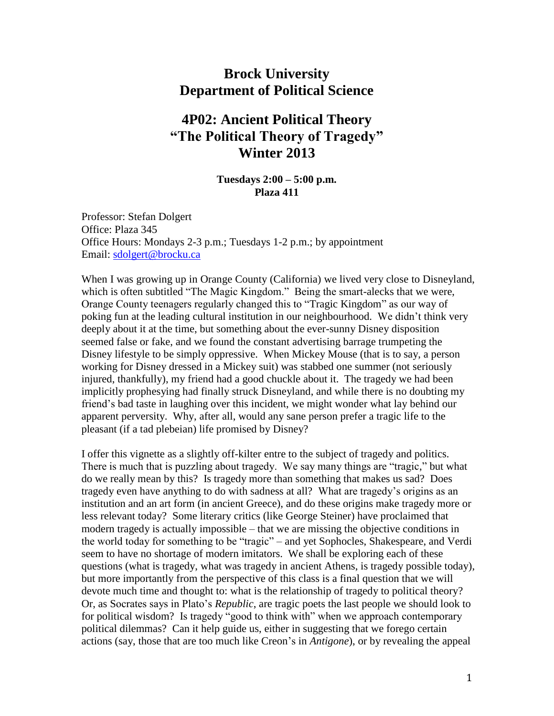# **Brock University Department of Political Science**

# **4P02: Ancient Political Theory "The Political Theory of Tragedy" Winter 2013**

#### **Tuesdays 2:00 – 5:00 p.m. Plaza 411**

Professor: Stefan Dolgert Office: Plaza 345 Office Hours: Mondays 2-3 p.m.; Tuesdays 1-2 p.m.; by appointment Email: [sdolgert@brocku.ca](mailto:sdolgert@brocku.ca)

When I was growing up in Orange County (California) we lived very close to Disneyland, which is often subtitled "The Magic Kingdom." Being the smart-alecks that we were, Orange County teenagers regularly changed this to "Tragic Kingdom" as our way of poking fun at the leading cultural institution in our neighbourhood. We didn't think very deeply about it at the time, but something about the ever-sunny Disney disposition seemed false or fake, and we found the constant advertising barrage trumpeting the Disney lifestyle to be simply oppressive. When Mickey Mouse (that is to say, a person working for Disney dressed in a Mickey suit) was stabbed one summer (not seriously injured, thankfully), my friend had a good chuckle about it. The tragedy we had been implicitly prophesying had finally struck Disneyland, and while there is no doubting my friend's bad taste in laughing over this incident, we might wonder what lay behind our apparent perversity. Why, after all, would any sane person prefer a tragic life to the pleasant (if a tad plebeian) life promised by Disney?

I offer this vignette as a slightly off-kilter entre to the subject of tragedy and politics. There is much that is puzzling about tragedy. We say many things are "tragic," but what do we really mean by this? Is tragedy more than something that makes us sad? Does tragedy even have anything to do with sadness at all? What are tragedy's origins as an institution and an art form (in ancient Greece), and do these origins make tragedy more or less relevant today? Some literary critics (like George Steiner) have proclaimed that modern tragedy is actually impossible – that we are missing the objective conditions in the world today for something to be "tragic" – and yet Sophocles, Shakespeare, and Verdi seem to have no shortage of modern imitators. We shall be exploring each of these questions (what is tragedy, what was tragedy in ancient Athens, is tragedy possible today), but more importantly from the perspective of this class is a final question that we will devote much time and thought to: what is the relationship of tragedy to political theory? Or, as Socrates says in Plato's *Republic*, are tragic poets the last people we should look to for political wisdom? Is tragedy "good to think with" when we approach contemporary political dilemmas? Can it help guide us, either in suggesting that we forego certain actions (say, those that are too much like Creon's in *Antigone*), or by revealing the appeal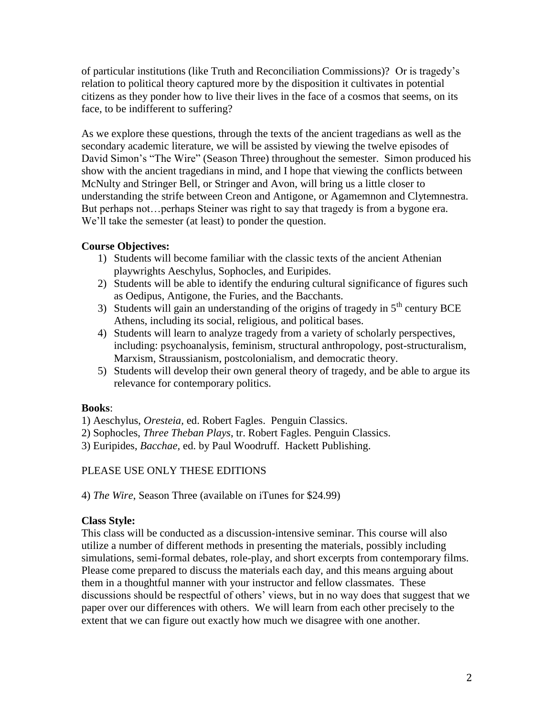of particular institutions (like Truth and Reconciliation Commissions)? Or is tragedy's relation to political theory captured more by the disposition it cultivates in potential citizens as they ponder how to live their lives in the face of a cosmos that seems, on its face, to be indifferent to suffering?

As we explore these questions, through the texts of the ancient tragedians as well as the secondary academic literature, we will be assisted by viewing the twelve episodes of David Simon's "The Wire" (Season Three) throughout the semester. Simon produced his show with the ancient tragedians in mind, and I hope that viewing the conflicts between McNulty and Stringer Bell, or Stringer and Avon, will bring us a little closer to understanding the strife between Creon and Antigone, or Agamemnon and Clytemnestra. But perhaps not... perhaps Steiner was right to say that tragedy is from a bygone era. We'll take the semester (at least) to ponder the question.

## **Course Objectives:**

- 1) Students will become familiar with the classic texts of the ancient Athenian playwrights Aeschylus, Sophocles, and Euripides.
- 2) Students will be able to identify the enduring cultural significance of figures such as Oedipus, Antigone, the Furies, and the Bacchants.
- 3) Students will gain an understanding of the origins of tragedy in  $5<sup>th</sup>$  century BCE Athens, including its social, religious, and political bases.
- 4) Students will learn to analyze tragedy from a variety of scholarly perspectives, including: psychoanalysis, feminism, structural anthropology, post-structuralism, Marxism, Straussianism, postcolonialism, and democratic theory.
- 5) Students will develop their own general theory of tragedy, and be able to argue its relevance for contemporary politics.

## **Books**:

1) Aeschylus, *Oresteia,* ed. Robert Fagles. Penguin Classics.

- 2) Sophocles, *Three Theban Plays*, tr. Robert Fagles. Penguin Classics.
- 3) Euripides, *Bacchae,* ed. by Paul Woodruff. Hackett Publishing.

## PLEASE USE ONLY THESE EDITIONS

4) *The Wire*, Season Three (available on iTunes for \$24.99)

## **Class Style:**

This class will be conducted as a discussion-intensive seminar. This course will also utilize a number of different methods in presenting the materials, possibly including simulations, semi-formal debates, role-play, and short excerpts from contemporary films. Please come prepared to discuss the materials each day, and this means arguing about them in a thoughtful manner with your instructor and fellow classmates. These discussions should be respectful of others' views, but in no way does that suggest that we paper over our differences with others. We will learn from each other precisely to the extent that we can figure out exactly how much we disagree with one another.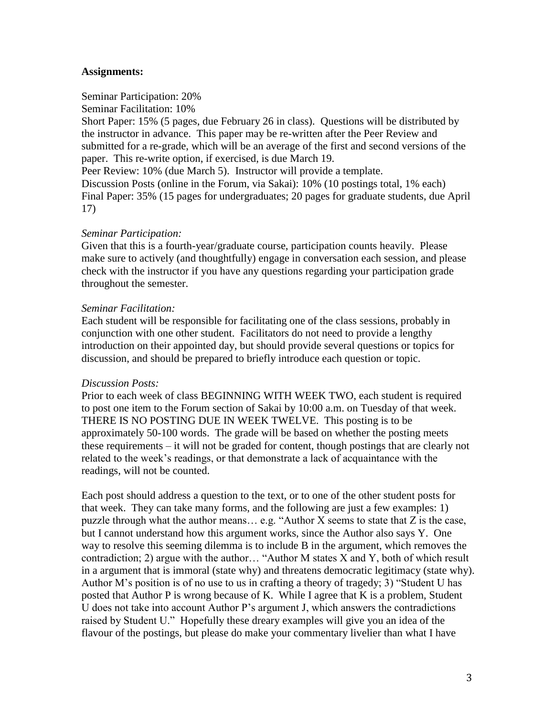#### **Assignments:**

#### Seminar Participation: 20%

Seminar Facilitation: 10%

Short Paper: 15% (5 pages, due February 26 in class). Questions will be distributed by the instructor in advance. This paper may be re-written after the Peer Review and submitted for a re-grade, which will be an average of the first and second versions of the paper. This re-write option, if exercised, is due March 19.

Peer Review: 10% (due March 5). Instructor will provide a template.

Discussion Posts (online in the Forum, via Sakai): 10% (10 postings total, 1% each) Final Paper: 35% (15 pages for undergraduates; 20 pages for graduate students, due April 17)

#### *Seminar Participation:*

Given that this is a fourth-year/graduate course, participation counts heavily. Please make sure to actively (and thoughtfully) engage in conversation each session, and please check with the instructor if you have any questions regarding your participation grade throughout the semester.

#### *Seminar Facilitation:*

Each student will be responsible for facilitating one of the class sessions, probably in conjunction with one other student. Facilitators do not need to provide a lengthy introduction on their appointed day, but should provide several questions or topics for discussion, and should be prepared to briefly introduce each question or topic.

#### *Discussion Posts:*

Prior to each week of class BEGINNING WITH WEEK TWO, each student is required to post one item to the Forum section of Sakai by 10:00 a.m. on Tuesday of that week. THERE IS NO POSTING DUE IN WEEK TWELVE. This posting is to be approximately 50-100 words. The grade will be based on whether the posting meets these requirements – it will not be graded for content, though postings that are clearly not related to the week's readings, or that demonstrate a lack of acquaintance with the readings, will not be counted.

Each post should address a question to the text, or to one of the other student posts for that week. They can take many forms, and the following are just a few examples: 1) puzzle through what the author means… e.g. "Author X seems to state that Z is the case, but I cannot understand how this argument works, since the Author also says Y. One way to resolve this seeming dilemma is to include B in the argument, which removes the contradiction; 2) argue with the author… "Author M states X and Y, both of which result in a argument that is immoral (state why) and threatens democratic legitimacy (state why). Author M's position is of no use to us in crafting a theory of tragedy; 3) "Student U has posted that Author P is wrong because of K. While I agree that K is a problem, Student U does not take into account Author P's argument J, which answers the contradictions raised by Student U." Hopefully these dreary examples will give you an idea of the flavour of the postings, but please do make your commentary livelier than what I have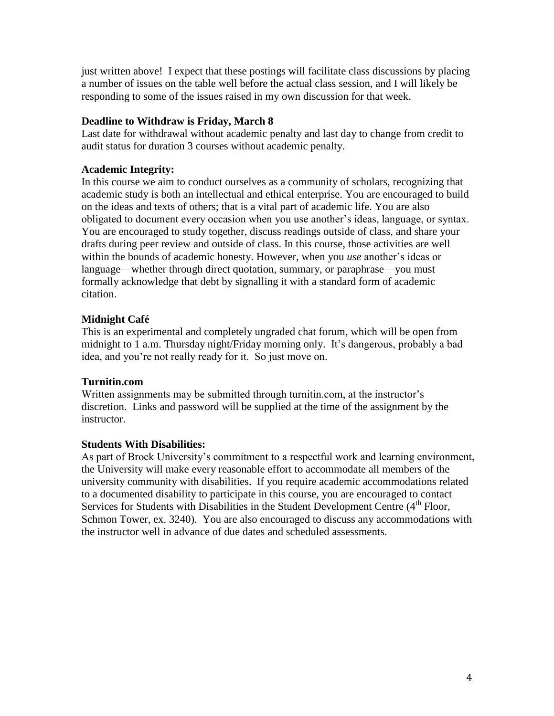just written above! I expect that these postings will facilitate class discussions by placing a number of issues on the table well before the actual class session, and I will likely be responding to some of the issues raised in my own discussion for that week.

## **Deadline to Withdraw is Friday, March 8**

Last date for withdrawal without academic penalty and last day to change from credit to audit status for duration 3 courses without academic penalty.

## **Academic Integrity:**

In this course we aim to conduct ourselves as a community of scholars, recognizing that academic study is both an intellectual and ethical enterprise. You are encouraged to build on the ideas and texts of others; that is a vital part of academic life. You are also obligated to document every occasion when you use another's ideas, language, or syntax. You are encouraged to study together, discuss readings outside of class, and share your drafts during peer review and outside of class. In this course, those activities are well within the bounds of academic honesty. However, when you *use* another's ideas or language—whether through direct quotation, summary, or paraphrase—you must formally acknowledge that debt by signalling it with a standard form of academic citation.

## **Midnight Café**

This is an experimental and completely ungraded chat forum, which will be open from midnight to 1 a.m. Thursday night/Friday morning only. It's dangerous, probably a bad idea, and you're not really ready for it. So just move on.

## **Turnitin.com**

Written assignments may be submitted through turnitin.com, at the instructor's discretion. Links and password will be supplied at the time of the assignment by the instructor.

## **Students With Disabilities:**

As part of Brock University's commitment to a respectful work and learning environment, the University will make every reasonable effort to accommodate all members of the university community with disabilities. If you require academic accommodations related to a documented disability to participate in this course, you are encouraged to contact Services for Students with Disabilities in the Student Development Centre (4<sup>th</sup> Floor, Schmon Tower, ex. 3240). You are also encouraged to discuss any accommodations with the instructor well in advance of due dates and scheduled assessments.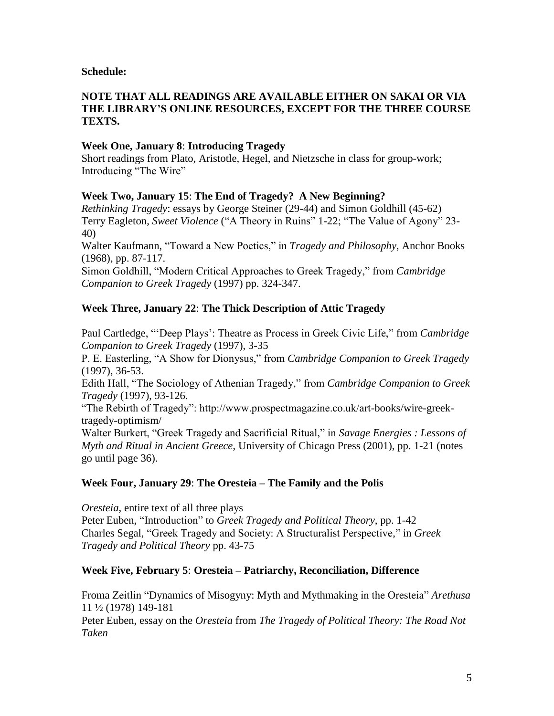#### **Schedule:**

#### **NOTE THAT ALL READINGS ARE AVAILABLE EITHER ON SAKAI OR VIA THE LIBRARY'S ONLINE RESOURCES, EXCEPT FOR THE THREE COURSE TEXTS.**

### **Week One, January 8**: **Introducing Tragedy**

Short readings from Plato, Aristotle, Hegel, and Nietzsche in class for group-work; Introducing "The Wire"

#### **Week Two, January 15**: **The End of Tragedy? A New Beginning?**

*Rethinking Tragedy*: essays by George Steiner (29-44) and Simon Goldhill (45-62) Terry Eagleton, *Sweet Violence* ("A Theory in Ruins" 1-22; "The Value of Agony" 23- 40)

Walter Kaufmann, "Toward a New Poetics," in *Tragedy and Philosophy*, Anchor Books (1968), pp. 87-117.

Simon Goldhill, "Modern Critical Approaches to Greek Tragedy," from *Cambridge Companion to Greek Tragedy* (1997) pp. 324-347.

## **Week Three, January 22**: **The Thick Description of Attic Tragedy**

Paul Cartledge, "'Deep Plays': Theatre as Process in Greek Civic Life," from *Cambridge Companion to Greek Tragedy* (1997), 3-35

P. E. Easterling, "A Show for Dionysus," from *Cambridge Companion to Greek Tragedy* (1997), 36-53.

Edith Hall, "The Sociology of Athenian Tragedy," from *Cambridge Companion to Greek Tragedy* (1997), 93-126.

"The Rebirth of Tragedy": http://www.prospectmagazine.co.uk/art-books/wire-greektragedy-optimism/

Walter Burkert, "Greek Tragedy and Sacrificial Ritual," in *Savage Energies : Lessons of Myth and Ritual in Ancient Greece*, University of Chicago Press (2001), pp. 1-21 (notes go until page 36).

## **Week Four, January 29**: **The Oresteia – The Family and the Polis**

*Oresteia*, entire text of all three plays Peter Euben, "Introduction" to *Greek Tragedy and Political Theory*, pp. 1-42 Charles Segal, "Greek Tragedy and Society: A Structuralist Perspective," in *Greek Tragedy and Political Theory* pp. 43-75

#### **Week Five, February 5**: **Oresteia – Patriarchy, Reconciliation, Difference**

Froma Zeitlin "Dynamics of Misogyny: Myth and Mythmaking in the Oresteia" *Arethusa* 11 ½ (1978) 149-181

Peter Euben, essay on the *Oresteia* from *The Tragedy of Political Theory: The Road Not Taken*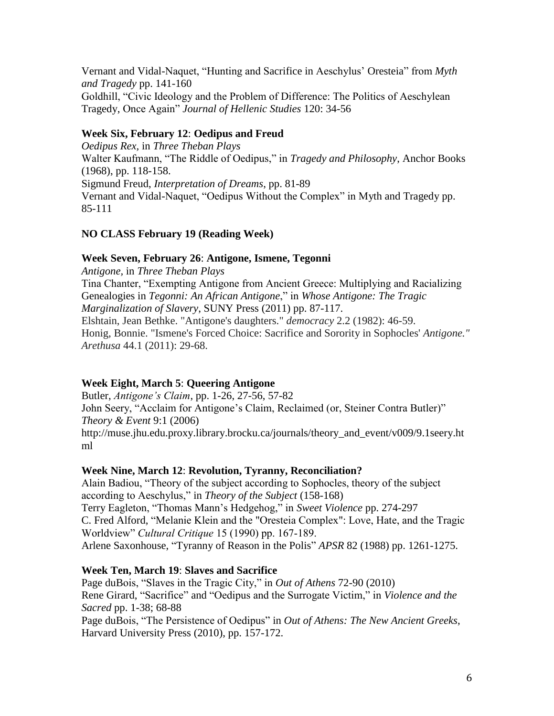Vernant and Vidal-Naquet, "Hunting and Sacrifice in Aeschylus' Oresteia" from *Myth and Tragedy* pp. 141-160 Goldhill, "Civic Ideology and the Problem of Difference: The Politics of Aeschylean Tragedy, Once Again" *Journal of Hellenic Studies* 120: 34-56

## **Week Six, February 12**: **Oedipus and Freud**

*Oedipus Rex,* in *Three Theban Plays* Walter Kaufmann, "The Riddle of Oedipus," in *Tragedy and Philosophy*, Anchor Books (1968), pp. 118-158. Sigmund Freud, *Interpretation of Dreams*, pp. 81-89 Vernant and Vidal-Naquet, "Oedipus Without the Complex" in Myth and Tragedy pp. 85-111

## **NO CLASS February 19 (Reading Week)**

## **Week Seven, February 26**: **Antigone, Ismene, Tegonni**

*Antigone,* in *Three Theban Plays* Tina Chanter, "Exempting Antigone from Ancient Greece: Multiplying and Racializing Genealogies in *Tegonni: An African Antigone*," in *Whose Antigone: The Tragic Marginalization of Slavery*, SUNY Press (2011) pp. 87-117. Elshtain, Jean Bethke. "Antigone's daughters." *democracy* 2.2 (1982): 46-59. Honig, Bonnie. "Ismene's Forced Choice: Sacrifice and Sorority in Sophocles' *Antigone." Arethusa* 44.1 (2011): 29-68.

## **Week Eight, March 5**: **Queering Antigone**

Butler, *Antigone's Claim*, pp. 1-26, 27-56, 57-82 John Seery, "Acclaim for Antigone's Claim, Reclaimed (or, Steiner Contra Butler)" *Theory & Event* 9:1 (2006) http://muse.jhu.edu.proxy.library.brocku.ca/journals/theory\_and\_event/v009/9.1seery.ht ml

## **Week Nine, March 12**: **Revolution, Tyranny, Reconciliation?**

Alain Badiou, "Theory of the subject according to Sophocles, theory of the subject according to Aeschylus," in *Theory of the Subject* (158-168) Terry Eagleton, "Thomas Mann's Hedgehog," in *Sweet Violence* pp. 274-297 C. Fred Alford, "Melanie Klein and the "Oresteia Complex": Love, Hate, and the Tragic Worldview" *Cultural Critique* 15 (1990) pp. 167-189. Arlene Saxonhouse, "Tyranny of Reason in the Polis" *APSR* 82 (1988) pp. 1261-1275.

## **Week Ten, March 19**: **Slaves and Sacrifice**

Page duBois, "Slaves in the Tragic City," in *Out of Athens* 72-90 (2010) Rene Girard, "Sacrifice" and "Oedipus and the Surrogate Victim," in *Violence and the Sacred* pp. 1-38; 68-88 Page duBois, "The Persistence of Oedipus" in *Out of Athens: The New Ancient Greeks*,

Harvard University Press (2010), pp. 157-172.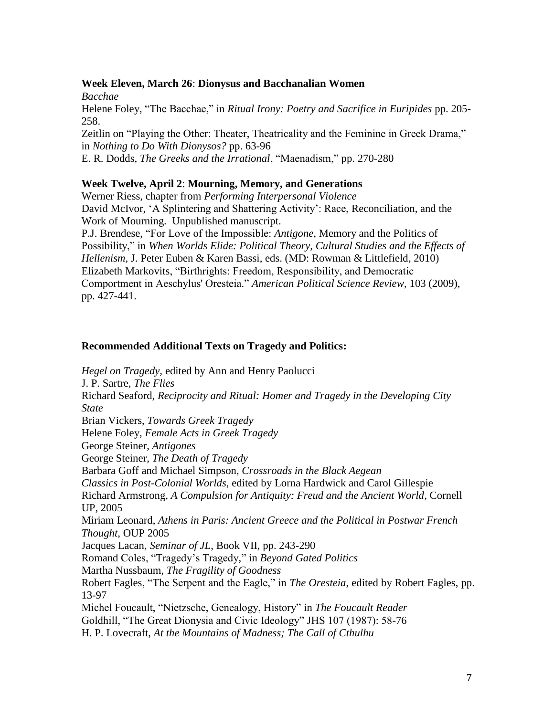#### **Week Eleven, March 26**: **Dionysus and Bacchanalian Women**

*Bacchae* Helene Foley, "The Bacchae," in *Ritual Irony: Poetry and Sacrifice in Euripides* pp. 205- 258. Zeitlin on "Playing the Other: Theater, Theatricality and the Feminine in Greek Drama," in *Nothing to Do With Dionysos?* pp. 63-96

E. R. Dodds, *The Greeks and the Irrational*, "Maenadism," pp. 270-280

## **Week Twelve, April 2**: **Mourning, Memory, and Generations**

Werner Riess, chapter from *Performing Interpersonal Violence* David McIvor, 'A Splintering and Shattering Activity': Race, Reconciliation, and the Work of Mourning. Unpublished manuscript.

P.J. Brendese, "For Love of the Impossible: *Antigone*, Memory and the Politics of Possibility," in *When Worlds Elide: Political Theory, Cultural Studies and the Effects of Hellenism,* J. Peter Euben & Karen Bassi, eds. (MD: Rowman & Littlefield, 2010) Elizabeth Markovits, "Birthrights: Freedom, Responsibility, and Democratic Comportment in Aeschylus' Oresteia." *American Political Science Review*, 103 (2009), pp. 427-441.

## **Recommended Additional Texts on Tragedy and Politics:**

*Hegel on Tragedy,* edited by Ann and Henry Paolucci J. P. Sartre, *The Flies* Richard Seaford, *Reciprocity and Ritual: Homer and Tragedy in the Developing City State* Brian Vickers, *Towards Greek Tragedy* Helene Foley, *Female Acts in Greek Tragedy* George Steiner, *Antigones* George Steiner, *The Death of Tragedy* Barbara Goff and Michael Simpson, *Crossroads in the Black Aegean Classics in Post-Colonial Worlds*, edited by Lorna Hardwick and Carol Gillespie Richard Armstrong, *A Compulsion for Antiquity: Freud and the Ancient World*, Cornell UP, 2005 Miriam Leonard, *Athens in Paris: Ancient Greece and the Political in Postwar French Thought*, OUP 2005 Jacques Lacan, *Seminar of JL*, Book VII, pp. 243-290 Romand Coles, "Tragedy's Tragedy," in *Beyond Gated Politics* Martha Nussbaum, *The Fragility of Goodness* Robert Fagles, "The Serpent and the Eagle," in *The Oresteia*, edited by Robert Fagles, pp. 13-97 Michel Foucault, "Nietzsche, Genealogy, History" in *The Foucault Reader* Goldhill, "The Great Dionysia and Civic Ideology" JHS 107 (1987): 58-76

H. P. Lovecraft, *At the Mountains of Madness; The Call of Cthulhu*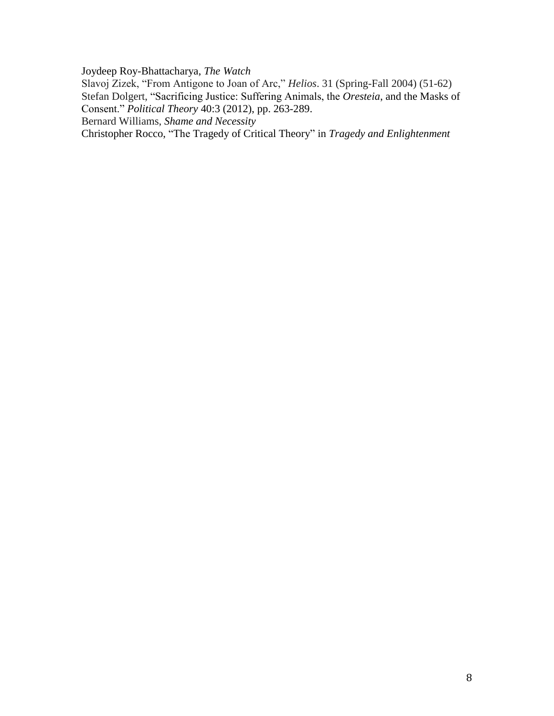Joydeep Roy-Bhattacharya, *The Watch*

Slavoj Zizek, "From Antigone to Joan of Arc," *Helios*. 31 (Spring-Fall 2004) (51-62) Stefan Dolgert, "Sacrificing Justice: Suffering Animals, the *Oresteia*, and the Masks of Consent." *Political Theory* 40:3 (2012), pp. 263-289.

Bernard Williams, *Shame and Necessity*

Christopher Rocco, "The Tragedy of Critical Theory" in *Tragedy and Enlightenment*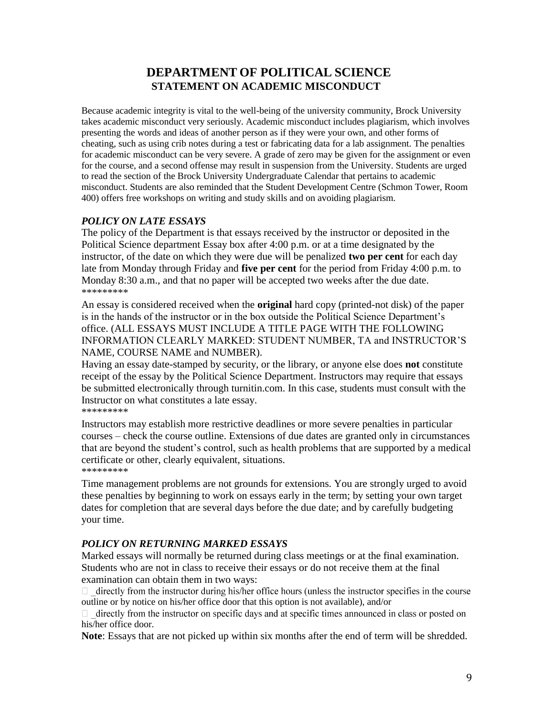# **DEPARTMENT OF POLITICAL SCIENCE STATEMENT ON ACADEMIC MISCONDUCT**

Because academic integrity is vital to the well-being of the university community, Brock University takes academic misconduct very seriously. Academic misconduct includes plagiarism, which involves presenting the words and ideas of another person as if they were your own, and other forms of cheating, such as using crib notes during a test or fabricating data for a lab assignment. The penalties for academic misconduct can be very severe. A grade of zero may be given for the assignment or even for the course, and a second offense may result in suspension from the University. Students are urged to read the section of the Brock University Undergraduate Calendar that pertains to academic misconduct. Students are also reminded that the Student Development Centre (Schmon Tower, Room 400) offers free workshops on writing and study skills and on avoiding plagiarism.

## *POLICY ON LATE ESSAYS*

The policy of the Department is that essays received by the instructor or deposited in the Political Science department Essay box after 4:00 p.m. or at a time designated by the instructor, of the date on which they were due will be penalized **two per cent** for each day late from Monday through Friday and **five per cent** for the period from Friday 4:00 p.m. to Monday 8:30 a.m., and that no paper will be accepted two weeks after the due date. \*\*\*\*\*\*\*\*\*

An essay is considered received when the **original** hard copy (printed-not disk) of the paper is in the hands of the instructor or in the box outside the Political Science Department's office. (ALL ESSAYS MUST INCLUDE A TITLE PAGE WITH THE FOLLOWING INFORMATION CLEARLY MARKED: STUDENT NUMBER, TA and INSTRUCTOR'S NAME, COURSE NAME and NUMBER).

Having an essay date-stamped by security, or the library, or anyone else does **not** constitute receipt of the essay by the Political Science Department. Instructors may require that essays be submitted electronically through turnitin.com. In this case, students must consult with the Instructor on what constitutes a late essay. \*\*\*\*\*\*\*\*\*

Instructors may establish more restrictive deadlines or more severe penalties in particular courses – check the course outline. Extensions of due dates are granted only in circumstances that are beyond the student's control, such as health problems that are supported by a medical certificate or other, clearly equivalent, situations. \*\*\*\*\*\*\*\*\*

Time management problems are not grounds for extensions. You are strongly urged to avoid these penalties by beginning to work on essays early in the term; by setting your own target dates for completion that are several days before the due date; and by carefully budgeting your time.

## *POLICY ON RETURNING MARKED ESSAYS*

Marked essays will normally be returned during class meetings or at the final examination. Students who are not in class to receive their essays or do not receive them at the final examination can obtain them in two ways:

directly from the instructor during his/her office hours (unless the instructor specifies in the course outline or by notice on his/her office door that this option is not available), and/or

 $\Box$  directly from the instructor on specific days and at specific times announced in class or posted on his/her office door.

**Note**: Essays that are not picked up within six months after the end of term will be shredded.